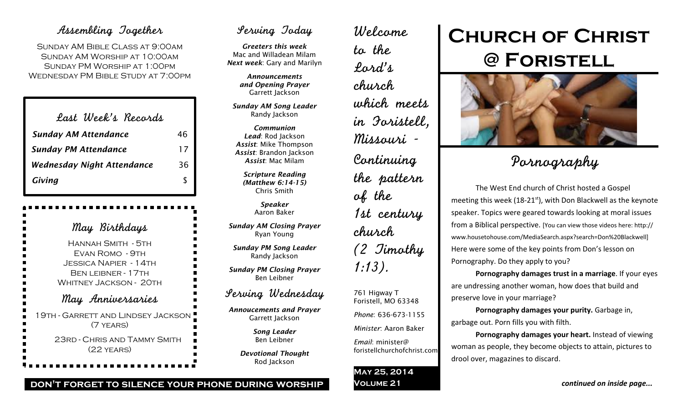## Assembling Together

SUNDAY AM BIBLE CLASS AT 9:00AM Sunday AM Worship at 10:00am Sunday PM Worship at 1:00pm Wednesday PM Bible Study at 7:00pm

| Last Week's Records               |    |
|-----------------------------------|----|
| <b>Sunday AM Attendance</b>       | 46 |
| <b>Sunday PM Attendance</b>       | 17 |
| <b>Wednesday Night Attendance</b> | 36 |
| Giving                            |    |

May Birthdays Hannah Smith - 5th Evan Romo - 9th Jessica Napier - 14th Ben leibner - 17th WHITNEY JACKSON - 20TH May Anniversaries 19th - Garrett and Lindsey Jackson (7 years) 23rd - Chris and Tammy Smith (22 years)

## Serving Today

*Greeters this week* Mac and Willadean Milam *Next week*: Gary and Marilyn

> *Announcements and Opening Prayer* Garrett Jackson

*Sunday AM Song Leader* Randy Jackson

*Communion Lead*: Rod Jackson *Assist*: Mike Thompson *Assist*: Brandon Jackson *Assist*: Mac Milam

*Scripture Reading (Matthew 6:14-15)* Chris Smith

> *Speaker* Aaron Baker

*Sunday AM Closing Prayer* Ryan Young

*Sunday PM Song Leader* Randy Jackson

*Sunday PM Closing Prayer* Ben Leibner

## Serving Wednesday

*Annoucements and Prayer* Garrett Jackson

> *Song Leader* Ben Leibner

*Devotional Thought* Rod Jackson

## Welcome to the Lord's church which meets in Foristell, Missouri - Continuing the pattern of the 1st century church (2 Timothy 1:13). 761 Higway T

Foristell, MO 63348 *Phone*: 636-673-1155

*Minister*: Aaron Baker

*Email*: minister@ foristellchurchofchrist.com

### **May 25, 2014 Volume 21**

# **Church of Christ @ Foristell**



## Pornography

The West End church of Christ hosted a Gospel meeting this week (18-21<sup>st</sup>), with Don Blackwell as the keynote speaker. Topics were geared towards looking at moral issues from a Biblical perspective. [You can view those videos here: http:// www.housetohouse.com/MediaSearch.aspx?search=Don%20Blackwell] Here were some of the key points from Don's lesson on Pornography. Do they apply to you?

**Pornography damages trust in a marriage**. If your eyes are undressing another woman, how does that build and preserve love in your marriage?

**Pornography damages your purity.** Garbage in, garbage out. Porn fills you with filth.

**Pornography damages your heart.** Instead of viewing woman as people, they become objects to attain, pictures to drool over, magazines to discard.

*continued on inside page...*

### **don't forget to silence your phone during worship**